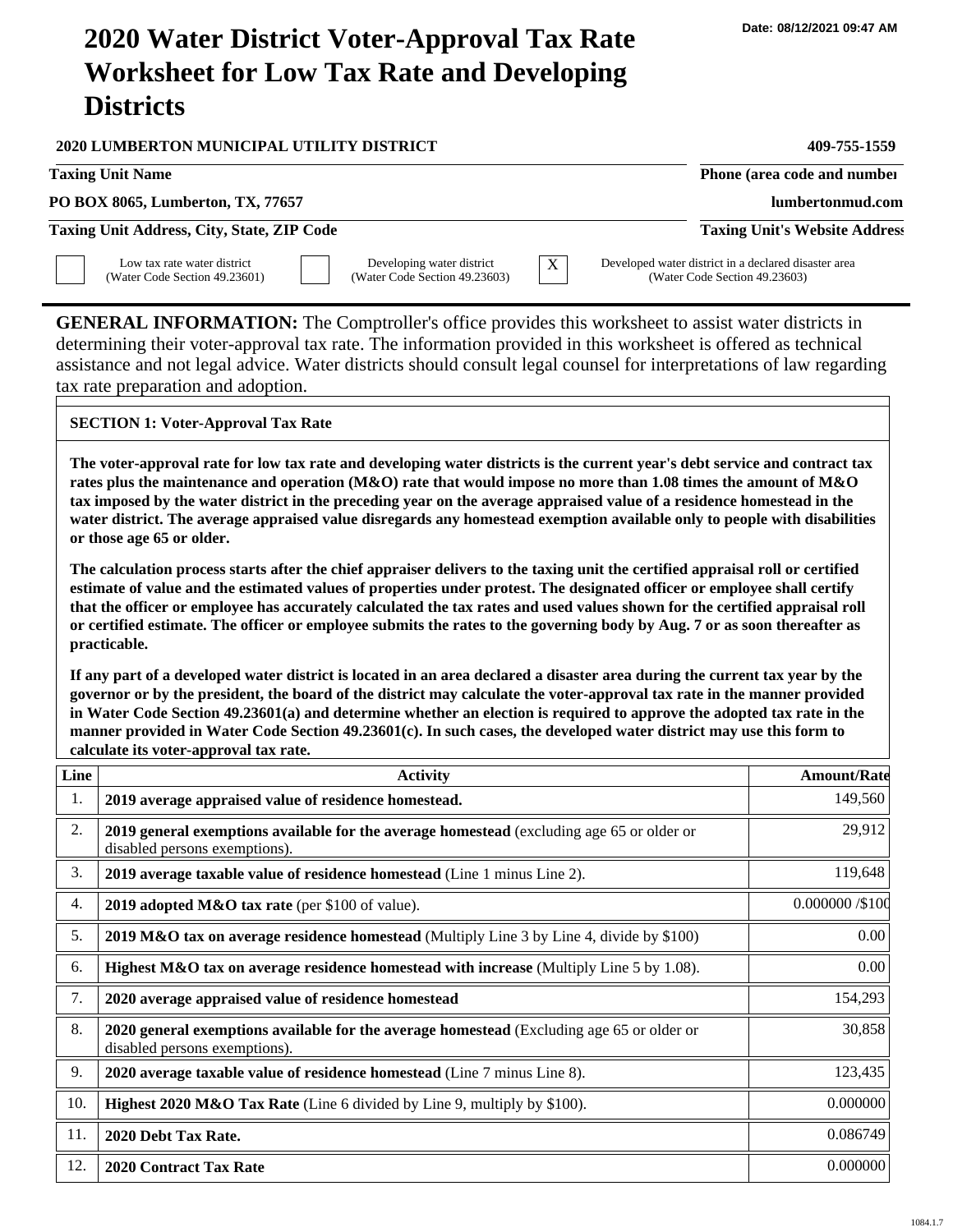## **2020 Water District Voter-Approval Tax Rate Worksheet for Low Tax Rate and Developing Districts**

| <b>Taxing Unit Name</b>                                                                                                                                                                                                                                                                                                                                                                                                                                                                                                                                                                                                                                                                                                                                                                                                        | 409-755-1559                                                                          |
|--------------------------------------------------------------------------------------------------------------------------------------------------------------------------------------------------------------------------------------------------------------------------------------------------------------------------------------------------------------------------------------------------------------------------------------------------------------------------------------------------------------------------------------------------------------------------------------------------------------------------------------------------------------------------------------------------------------------------------------------------------------------------------------------------------------------------------|---------------------------------------------------------------------------------------|
|                                                                                                                                                                                                                                                                                                                                                                                                                                                                                                                                                                                                                                                                                                                                                                                                                                | Phone (area code and number                                                           |
| PO BOX 8065, Lumberton, TX, 77657                                                                                                                                                                                                                                                                                                                                                                                                                                                                                                                                                                                                                                                                                                                                                                                              | lumbertonmud.com                                                                      |
| Taxing Unit Address, City, State, ZIP Code                                                                                                                                                                                                                                                                                                                                                                                                                                                                                                                                                                                                                                                                                                                                                                                     | <b>Taxing Unit's Website Address</b>                                                  |
| Low tax rate water district<br>Developing water district<br>X<br>(Water Code Section 49.23603)<br>(Water Code Section 49.23601)                                                                                                                                                                                                                                                                                                                                                                                                                                                                                                                                                                                                                                                                                                | Developed water district in a declared disaster area<br>(Water Code Section 49.23603) |
| <b>GENERAL INFORMATION:</b> The Comptroller's office provides this worksheet to assist water districts in<br>determining their voter-approval tax rate. The information provided in this worksheet is offered as technical<br>assistance and not legal advice. Water districts should consult legal counsel for interpretations of law regarding<br>tax rate preparation and adoption.                                                                                                                                                                                                                                                                                                                                                                                                                                         |                                                                                       |
| <b>SECTION 1: Voter-Approval Tax Rate</b>                                                                                                                                                                                                                                                                                                                                                                                                                                                                                                                                                                                                                                                                                                                                                                                      |                                                                                       |
| or those age 65 or older.<br>The calculation process starts after the chief appraiser delivers to the taxing unit the certified appraisal roll or certified<br>estimate of value and the estimated values of properties under protest. The designated officer or employee shall certify<br>that the officer or employee has accurately calculated the tax rates and used values shown for the certified appraisal roll<br>or certified estimate. The officer or employee submits the rates to the governing body by Aug. 7 or as soon thereafter as<br>practicable.<br>If any part of a developed water district is located in an area declared a disaster area during the current tax year by the<br>governor or by the president, the board of the district may calculate the voter-approval tax rate in the manner provided |                                                                                       |
| in Water Code Section 49.23601(a) and determine whether an election is required to approve the adopted tax rate in the<br>manner provided in Water Code Section 49.23601(c). In such cases, the developed water district may use this form to<br>calculate its voter-approval tax rate.                                                                                                                                                                                                                                                                                                                                                                                                                                                                                                                                        |                                                                                       |
| Line<br><b>Activity</b>                                                                                                                                                                                                                                                                                                                                                                                                                                                                                                                                                                                                                                                                                                                                                                                                        | <b>Amount/Rate</b>                                                                    |
| 1.<br>2019 average appraised value of residence homestead.                                                                                                                                                                                                                                                                                                                                                                                                                                                                                                                                                                                                                                                                                                                                                                     | 149,560                                                                               |
| $\overline{2}$<br>2019 general exemptions available for the average homestead (excluding age 65 or older or<br>disabled persons exemptions).                                                                                                                                                                                                                                                                                                                                                                                                                                                                                                                                                                                                                                                                                   | 29.912                                                                                |
| 3.<br>2019 average taxable value of residence homestead (Line 1 minus Line 2).                                                                                                                                                                                                                                                                                                                                                                                                                                                                                                                                                                                                                                                                                                                                                 | 119,648                                                                               |
| 4.<br>2019 adopted M&O tax rate (per \$100 of value).                                                                                                                                                                                                                                                                                                                                                                                                                                                                                                                                                                                                                                                                                                                                                                          | 0.000000 /\$100                                                                       |
| 5.<br>2019 M&O tax on average residence homestead (Multiply Line 3 by Line 4, divide by \$100)                                                                                                                                                                                                                                                                                                                                                                                                                                                                                                                                                                                                                                                                                                                                 | 0.00                                                                                  |
| Highest M&O tax on average residence homestead with increase (Multiply Line 5 by 1.08).<br>6.                                                                                                                                                                                                                                                                                                                                                                                                                                                                                                                                                                                                                                                                                                                                  | 0.00                                                                                  |
| 7.<br>2020 average appraised value of residence homestead                                                                                                                                                                                                                                                                                                                                                                                                                                                                                                                                                                                                                                                                                                                                                                      | 154,293                                                                               |
| 8.<br>2020 general exemptions available for the average homestead (Excluding age 65 or older or<br>disabled persons exemptions).                                                                                                                                                                                                                                                                                                                                                                                                                                                                                                                                                                                                                                                                                               | 30,858                                                                                |
| 9.<br>2020 average taxable value of residence homestead (Line 7 minus Line 8).                                                                                                                                                                                                                                                                                                                                                                                                                                                                                                                                                                                                                                                                                                                                                 | 123,435                                                                               |

11. 12.

**2020 Debt Tax Rate.**

**2020 Contract Tax Rate**

1084.1.7

0.086749 0.000000